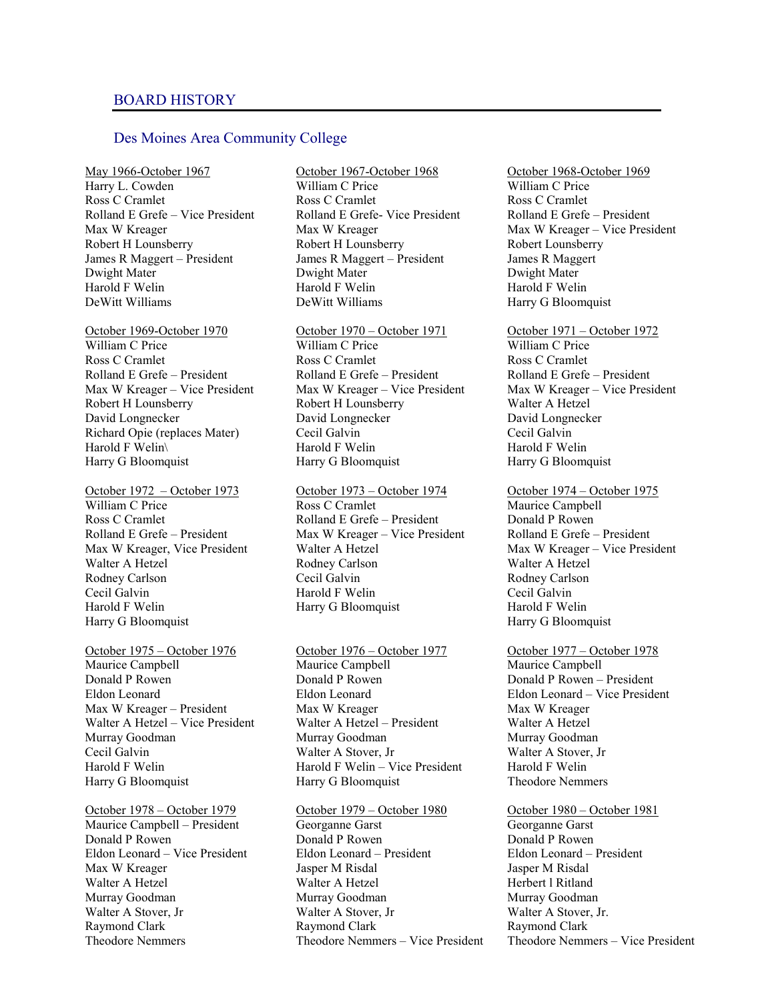## Des Moines Area Community College

May 1966-October 1967 Harry L. Cowden Ross C Cramlet Rolland E Grefe – Vice President Max W Kreager Robert H Lounsberry James R Maggert – President Dwight Mater Harold F Welin DeWitt Williams

October 1969-October 1970 William C Price Ross C Cramlet Rolland E Grefe – President Max W Kreager – Vice President Robert H Lounsberry David Longnecker Richard Opie (replaces Mater) Harold F Welin\ Harry G Bloomquist

October 1972 – October 1973 William C Price Ross C Cramlet Rolland E Grefe – President Max W Kreager, Vice President Walter A Hetzel Rodney Carlson Cecil Galvin Harold F Welin Harry G Bloomquist

October 1975 – October 1976 Maurice Campbell Donald P Rowen Eldon Leonard Max W Kreager – President Walter A Hetzel – Vice President Murray Goodman Cecil Galvin Harold F Welin Harry G Bloomquist

October 1978 – October 1979 Maurice Campbell – President Donald P Rowen Eldon Leonard – Vice President Max W Kreager Walter A Hetzel Murray Goodman Walter A Stover, Jr Raymond Clark Theodore Nemmers

October 1967-October 1968 William C Price Ross C Cramlet Rolland E Grefe- Vice President Max W Kreager Robert H Lounsberry James R Maggert – President Dwight Mater Harold F Welin DeWitt Williams

October 1970 – October 1971 William C Price Ross C Cramlet Rolland E Grefe – President Max W Kreager – Vice President Robert H Lounsberry David Longnecker Cecil Galvin Harold F Welin Harry G Bloomquist

October 1973 – October 1974 Ross C Cramlet Rolland E Grefe – President Max W Kreager – Vice President Walter A Hetzel Rodney Carlson Cecil Galvin Harold F Welin Harry G Bloomquist

October 1976 – October 1977 Maurice Campbell Donald P Rowen Eldon Leonard Max W Kreager Walter A Hetzel – President Murray Goodman Walter A Stover, Jr Harold F Welin – Vice President Harry G Bloomquist

October 1979 – October 1980 Georganne Garst Donald P Rowen Eldon Leonard – President Jasper M Risdal Walter A Hetzel Murray Goodman Walter A Stover, Jr Raymond Clark Theodore Nemmers – Vice President

October 1968-October 1969 William C Price Ross C Cramlet Rolland E Grefe – President Max W Kreager – Vice President Robert Lounsberry James R Maggert Dwight Mater Harold F Welin Harry G Bloomquist

October 1971 – October 1972 William C Price Ross C Cramlet Rolland E Grefe – President Max W Kreager – Vice President Walter A Hetzel David Longnecker Cecil Galvin Harold F Welin Harry G Bloomquist

October 1974 – October 1975 Maurice Campbell Donald P Rowen Rolland E Grefe – President Max W Kreager – Vice President Walter A Hetzel Rodney Carlson Cecil Galvin Harold F Welin Harry G Bloomquist

October 1977 – October 1978 Maurice Campbell Donald P Rowen – President Eldon Leonard – Vice President Max W Kreager Walter A Hetzel Murray Goodman Walter A Stover, Jr Harold F Welin Theodore Nemmers

October 1980 – October 1981 Georganne Garst Donald P Rowen Eldon Leonard – President Jasper M Risdal Herbert l Ritland Murray Goodman Walter A Stover, Jr. Raymond Clark Theodore Nemmers – Vice President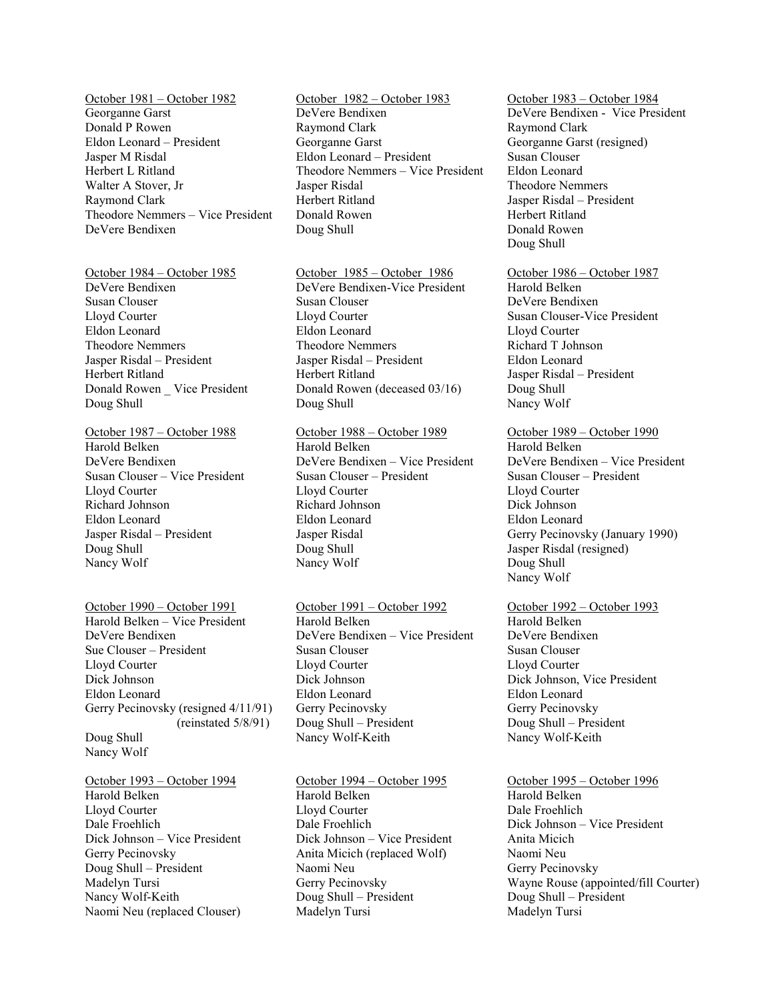October 1981 – October 1982 Georganne Garst Donald P Rowen Eldon Leonard – President Jasper M Risdal Herbert L Ritland Walter A Stover, Jr Raymond Clark Theodore Nemmers – Vice President DeVere Bendixen

October 1984 – October 1985 DeVere Bendixen Susan Clouser Lloyd Courter Eldon Leonard Theodore Nemmers Jasper Risdal – President Herbert Ritland Donald Rowen \_ Vice President Doug Shull

October 1987 – October 1988 Harold Belken DeVere Bendixen Susan Clouser – Vice President Lloyd Courter Richard Johnson Eldon Leonard Jasper Risdal – President Doug Shull Nancy Wolf

October 1990 – October 1991 Harold Belken – Vice President DeVere Bendixen Sue Clouser – President Lloyd Courter Dick Johnson Eldon Leonard Gerry Pecinovsky (resigned 4/11/91) (reinstated 5/8/91) Doug Shull Nancy Wolf

October 1993 – October 1994 Harold Belken Lloyd Courter Dale Froehlich Dick Johnson – Vice President Gerry Pecinovsky Doug Shull – President Madelyn Tursi Nancy Wolf-Keith Naomi Neu (replaced Clouser)

October 1982 – October 1983 DeVere Bendixen Raymond Clark Georganne Garst Eldon Leonard – President Theodore Nemmers – Vice President Jasper Risdal Herbert Ritland Donald Rowen Doug Shull

October 1985 – October 1986 DeVere Bendixen-Vice President Susan Clouser Lloyd Courter Eldon Leonard Theodore Nemmers Jasper Risdal – President Herbert Ritland Donald Rowen (deceased 03/16) Doug Shull

October 1988 – October 1989 Harold Belken DeVere Bendixen – Vice President Susan Clouser – President Lloyd Courter Richard Johnson Eldon Leonard Jasper Risdal Doug Shull Nancy Wolf

October 1991 – October 1992 Harold Belken DeVere Bendixen – Vice President Susan Clouser Lloyd Courter Dick Johnson Eldon Leonard Gerry Pecinovsky Doug Shull – President Nancy Wolf-Keith

October 1994 – October 1995 Harold Belken Lloyd Courter Dale Froehlich Dick Johnson – Vice President Anita Micich (replaced Wolf) Naomi Neu Gerry Pecinovsky Doug Shull – President Madelyn Tursi

October 1983 – October 1984 DeVere Bendixen - Vice President Raymond Clark Georganne Garst (resigned) Susan Clouser Eldon Leonard Theodore Nemmers Jasper Risdal – President Herbert Ritland Donald Rowen Doug Shull

October 1986 – October 1987 Harold Belken DeVere Bendixen Susan Clouser-Vice President Lloyd Courter Richard T Johnson Eldon Leonard Jasper Risdal – President Doug Shull Nancy Wolf

October 1989 – October 1990 Harold Belken DeVere Bendixen – Vice President Susan Clouser – President Lloyd Courter Dick Johnson Eldon Leonard Gerry Pecinovsky (January 1990) Jasper Risdal (resigned) Doug Shull Nancy Wolf

October 1992 – October 1993 Harold Belken DeVere Bendixen Susan Clouser Lloyd Courter Dick Johnson, Vice President Eldon Leonard Gerry Pecinovsky Doug Shull – President Nancy Wolf-Keith

October 1995 – October 1996 Harold Belken Dale Froehlich Dick Johnson – Vice President Anita Micich Naomi Neu Gerry Pecinovsky Wayne Rouse (appointed/fill Courter) Doug Shull – President Madelyn Tursi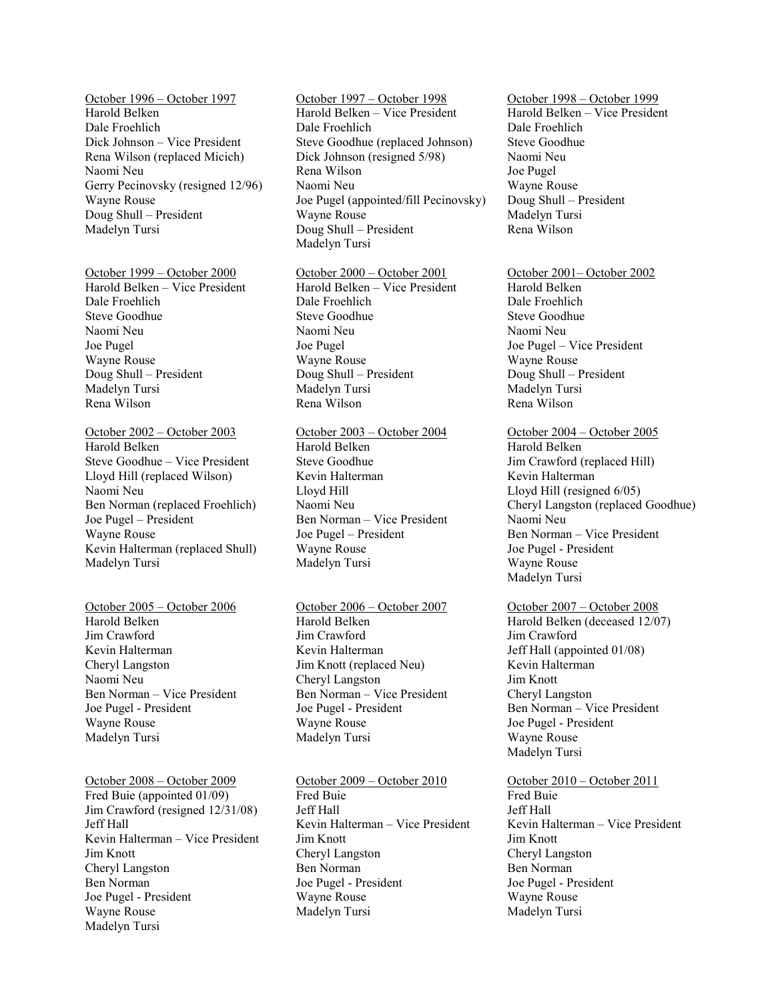October 1996 – October 1997 Harold Belken Dale Froehlich Dick Johnson – Vice President Rena Wilson (replaced Micich) Naomi Neu Gerry Pecinovsky (resigned 12/96) Wayne Rouse Doug Shull – President Madelyn Tursi

October 1999 – October 2000

Harold Belken – Vice President Dale Froehlich Steve Goodhue Naomi Neu Joe Pugel Wayne Rouse Doug Shull – President Madelyn Tursi Rena Wilson

October 2002 – October 2003 Harold Belken Steve Goodhue – Vice President Lloyd Hill (replaced Wilson) Naomi Neu Ben Norman (replaced Froehlich) Joe Pugel – President Wayne Rouse Kevin Halterman (replaced Shull) Madelyn Tursi

October 2005 – October 2006 Harold Belken Jim Crawford Kevin Halterman Cheryl Langston Naomi Neu Ben Norman – Vice President Joe Pugel - President Wayne Rouse Madelyn Tursi

October 2008 – October 2009 Fred Buie (appointed 01/09) Jim Crawford (resigned 12/31/08) Jeff Hall Kevin Halterman – Vice President Jim Knott Cheryl Langston Ben Norman Joe Pugel - President Wayne Rouse Madelyn Tursi

October 1997 – October 1998 Harold Belken – Vice President Dale Froehlich Steve Goodhue (replaced Johnson) Dick Johnson (resigned 5/98) Rena Wilson Naomi Neu Joe Pugel (appointed/fill Pecinovsky) Wayne Rouse Doug Shull – President Madelyn Tursi

October 2000 – October 2001 Harold Belken – Vice President Dale Froehlich Steve Goodhue Naomi Neu Joe Pugel Wayne Rouse Doug Shull – President Madelyn Tursi

October 2003 – October 2004 Harold Belken Steve Goodhue Kevin Halterman Lloyd Hill Naomi Neu Ben Norman – Vice President Joe Pugel – President Wayne Rouse Madelyn Tursi

Rena Wilson

October 2006 – October 2007 Harold Belken Jim Crawford Kevin Halterman Jim Knott (replaced Neu) Cheryl Langston Ben Norman – Vice President Joe Pugel - President Wayne Rouse Madelyn Tursi

October 2009 – October 2010 Fred Buie Jeff Hall Kevin Halterman – Vice President Jim Knott Cheryl Langston Ben Norman Joe Pugel - President Wayne Rouse Madelyn Tursi

October 1998 – October 1999 Harold Belken – Vice President Dale Froehlich Steve Goodhue Naomi Neu Joe Pugel Wayne Rouse Doug Shull – President Madelyn Tursi Rena Wilson

October 2001– October 2002 Harold Belken Dale Froehlich Steve Goodhue Naomi Neu Joe Pugel – Vice President Wayne Rouse Doug Shull – President Madelyn Tursi Rena Wilson

October 2004 – October 2005 Harold Belken Jim Crawford (replaced Hill) Kevin Halterman Lloyd Hill (resigned 6/05) Cheryl Langston (replaced Goodhue) Naomi Neu Ben Norman – Vice President Joe Pugel - President Wayne Rouse Madelyn Tursi

October 2007 – October 2008 Harold Belken (deceased 12/07) Jim Crawford Jeff Hall (appointed 01/08) Kevin Halterman Jim Knott Cheryl Langston Ben Norman – Vice President Joe Pugel - President Wayne Rouse Madelyn Tursi

October 2010 – October 2011 Fred Buie Jeff Hall Kevin Halterman – Vice President Jim Knott Cheryl Langston Ben Norman Joe Pugel - President Wayne Rouse Madelyn Tursi